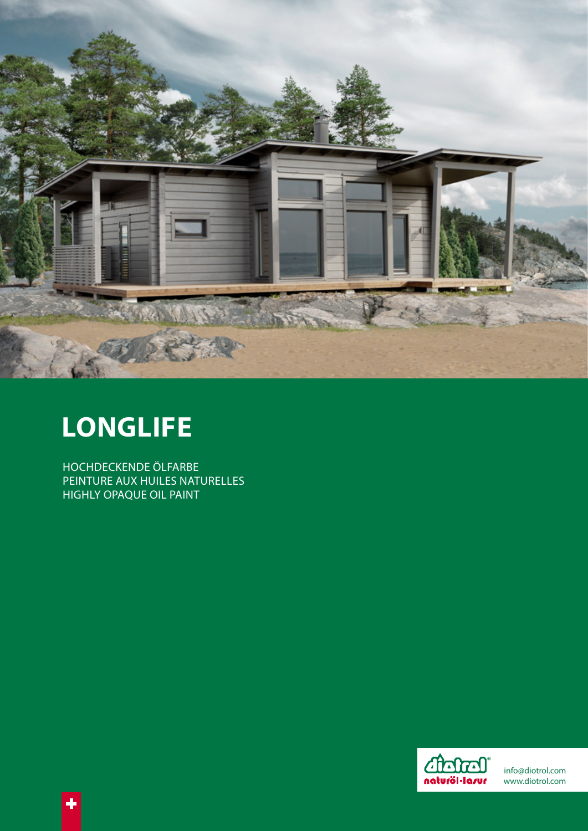

# **LONGLIFE**

HOCHDECKENDE ÖLFARBE PEINTURE AUX HUILES NATURELLES **HIGHLY OPAQUE OIL PAINT**